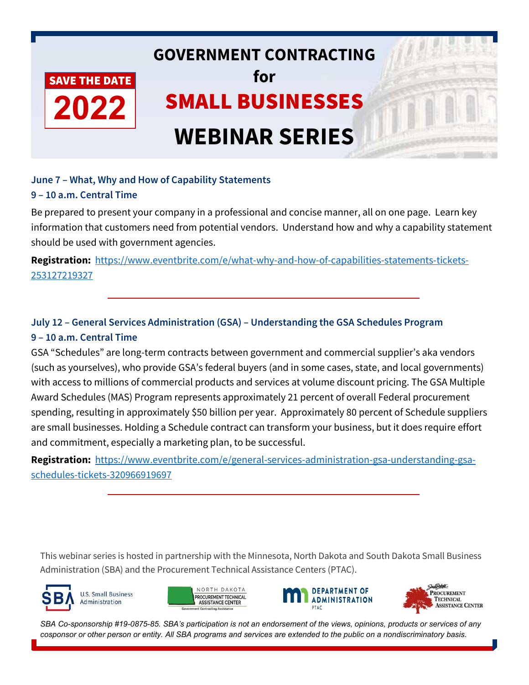

## **June 7 – What, Why and How of Capability Statements 9 – 10 a.m. Central Time**

Be prepared to present your company in a professional and concise manner, all on one page. Learn key information that customers need from potential vendors. Understand how and why a capability statement should be used with government agencies.

**Registration:** [https://www.eventbrite.com/e/what-why-and-how-of-capabilities-statements-tickets-](https://www.eventbrite.com/e/what-why-and-how-of-capabilities-statements-tickets-253127219327)[253127219327](https://www.eventbrite.com/e/what-why-and-how-of-capabilities-statements-tickets-253127219327)

# **July 12 – General Services Administration (GSA) – Understanding the GSA Schedules Program 9 – 10 a.m. Central Time**

GSA "Schedules" are long-term contracts between government and commercial supplier's aka vendors (such as yourselves), who provide GSA's federal buyers (and in some cases, state, and local governments) with access to millions of commercial products and services at volume discount pricing. The GSA Multiple Award Schedules (MAS) Program represents approximately 21 percent of overall Federal procurement spending, resulting in approximately \$50 billion per year. Approximately 80 percent of Schedule suppliers are small businesses. Holding a Schedule contract can transform your business, but it does require effort and commitment, especially a marketing plan, to be successful.

**Registration:** [https://www.eventbrite.com/e/general-services-administration-gsa-understanding-gsa](https://www.eventbrite.com/e/general-services-administration-gsa-understanding-gsa-schedules-tickets-320966919697)[schedules-tickets-320966919697](https://www.eventbrite.com/e/general-services-administration-gsa-understanding-gsa-schedules-tickets-320966919697)

This webinar series is hosted in partnership with the Minnesota, North Dakota and South Dakota Small Business Administration (SBA) and the Procurement Technical Assistance Centers (PTAC).









*SBA Co-sponsorship #19-0875-85. SBA's participation is not an endorsement of the views, opinions, products or services of any cosponsor or other person or entity. All SBA programs and services are extended to the public on a nondiscriminatory basis.*